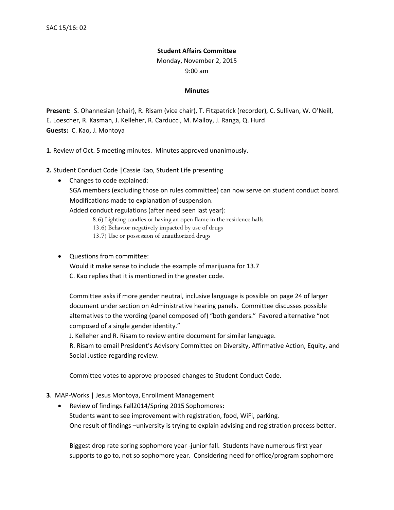## **Student Affairs Committee**

Monday, November 2, 2015

9:00 am

## **Minutes**

**Present:** S. Ohannesian (chair), R. Risam (vice chair), T. Fitzpatrick (recorder), C. Sullivan, W. O'Neill, E. Loescher, R. Kasman, J. Kelleher, R. Carducci, M. Malloy, J. Ranga, Q. Hurd **Guests:** C. Kao, J. Montoya

**1**. Review of Oct. 5 meeting minutes. Minutes approved unanimously.

**2.** Student Conduct Code |Cassie Kao, Student Life presenting

• Changes to code explained:

SGA members (excluding those on rules committee) can now serve on student conduct board. Modifications made to explanation of suspension.

Added conduct regulations (after need seen last year):

- 8.6) Lighting candles or having an open flame in the residence halls
- 13.6) Behavior negatively impacted by use of drugs
- 13.7) Use or possession of unauthorized drugs
- Questions from committee:

Would it make sense to include the example of marijuana for 13.7 C. Kao replies that it is mentioned in the greater code.

Committee asks if more gender neutral, inclusive language is possible on page 24 of larger document under section on Administrative hearing panels. Committee discusses possible alternatives to the wording (panel composed of) "both genders." Favored alternative "not composed of a single gender identity."

J. Kelleher and R. Risam to review entire document for similar language.

R. Risam to email President's Advisory Committee on Diversity, Affirmative Action, Equity, and Social Justice regarding review.

Committee votes to approve proposed changes to Student Conduct Code.

- **3**. MAP-Works | Jesus Montoya, Enrollment Management
	- Review of findings Fall2014/Spring 2015 Sophomores: Students want to see improvement with registration, food, WiFi, parking. One result of findings –university is trying to explain advising and registration process better.

Biggest drop rate spring sophomore year -junior fall. Students have numerous first year supports to go to, not so sophomore year. Considering need for office/program sophomore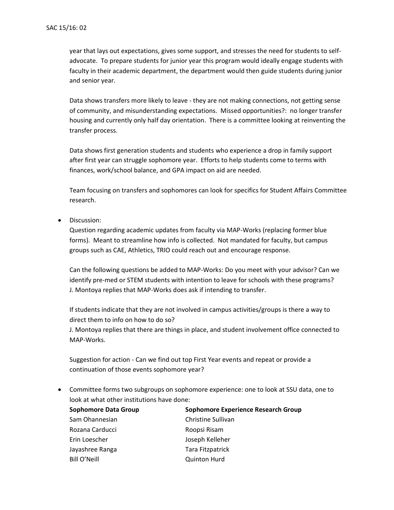year that lays out expectations, gives some support, and stresses the need for students to selfadvocate. To prepare students for junior year this program would ideally engage students with faculty in their academic department, the department would then guide students during junior and senior year.

Data shows transfers more likely to leave - they are not making connections, not getting sense of community, and misunderstanding expectations. Missed opportunities?: no longer transfer housing and currently only half day orientation. There is a committee looking at reinventing the transfer process.

Data shows first generation students and students who experience a drop in family support after first year can struggle sophomore year. Efforts to help students come to terms with finances, work/school balance, and GPA impact on aid are needed.

Team focusing on transfers and sophomores can look for specifics for Student Affairs Committee research.

• Discussion:

Question regarding academic updates from faculty via MAP-Works (replacing former blue forms). Meant to streamline how info is collected. Not mandated for faculty, but campus groups such as CAE, Athletics, TRIO could reach out and encourage response.

Can the following questions be added to MAP-Works: Do you meet with your advisor? Can we identify pre-med or STEM students with intention to leave for schools with these programs? J. Montoya replies that MAP-Works does ask if intending to transfer.

If students indicate that they are not involved in campus activities/groups is there a way to direct them to info on how to do so?

J. Montoya replies that there are things in place, and student involvement office connected to MAP-Works.

Suggestion for action - Can we find out top First Year events and repeat or provide a continuation of those events sophomore year?

• Committee forms two subgroups on sophomore experience: one to look at SSU data, one to look at what other institutions have done:

| <b>Sophomore Data Group</b> | Sophomore Experience Research Group |
|-----------------------------|-------------------------------------|
| Sam Ohannesian              | Christine Sullivan                  |
| Rozana Carducci             | Roopsi Risam                        |
| Erin Loescher               | Joseph Kelleher                     |
| Jayashree Ranga             | Tara Fitzpatrick                    |
| Bill O'Neill                | <b>Quinton Hurd</b>                 |